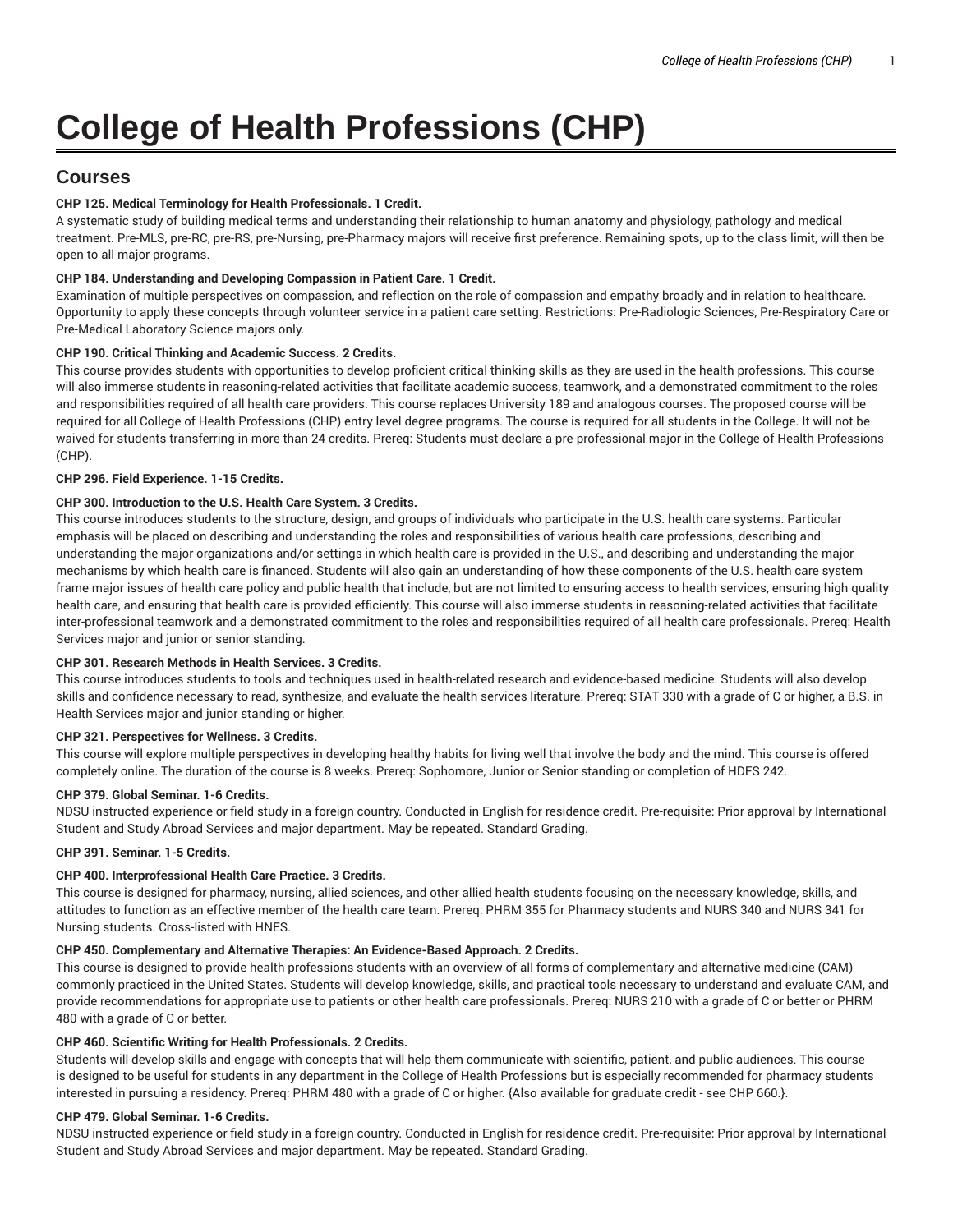# **College of Health Professions (CHP)**

# **Courses**

# **CHP 125. Medical Terminology for Health Professionals. 1 Credit.**

A systematic study of building medical terms and understanding their relationship to human anatomy and physiology, pathology and medical treatment. Pre-MLS, pre-RC, pre-RS, pre-Nursing, pre-Pharmacy majors will receive first preference. Remaining spots, up to the class limit, will then be open to all major programs.

# **CHP 184. Understanding and Developing Compassion in Patient Care. 1 Credit.**

Examination of multiple perspectives on compassion, and reflection on the role of compassion and empathy broadly and in relation to healthcare. Opportunity to apply these concepts through volunteer service in a patient care setting. Restrictions: Pre-Radiologic Sciences, Pre-Respiratory Care or Pre-Medical Laboratory Science majors only.

# **CHP 190. Critical Thinking and Academic Success. 2 Credits.**

This course provides students with opportunities to develop proficient critical thinking skills as they are used in the health professions. This course will also immerse students in reasoning-related activities that facilitate academic success, teamwork, and a demonstrated commitment to the roles and responsibilities required of all health care providers. This course replaces University 189 and analogous courses. The proposed course will be required for all College of Health Professions (CHP) entry level degree programs. The course is required for all students in the College. It will not be waived for students transferring in more than 24 credits. Prereq: Students must declare a pre-professional major in the College of Health Professions (CHP).

# **CHP 296. Field Experience. 1-15 Credits.**

# **CHP 300. Introduction to the U.S. Health Care System. 3 Credits.**

This course introduces students to the structure, design, and groups of individuals who participate in the U.S. health care systems. Particular emphasis will be placed on describing and understanding the roles and responsibilities of various health care professions, describing and understanding the major organizations and/or settings in which health care is provided in the U.S., and describing and understanding the major mechanisms by which health care is financed. Students will also gain an understanding of how these components of the U.S. health care system frame major issues of health care policy and public health that include, but are not limited to ensuring access to health services, ensuring high quality health care, and ensuring that health care is provided efficiently. This course will also immerse students in reasoning-related activities that facilitate inter-professional teamwork and a demonstrated commitment to the roles and responsibilities required of all health care professionals. Prereq: Health Services major and junior or senior standing.

# **CHP 301. Research Methods in Health Services. 3 Credits.**

This course introduces students to tools and techniques used in health-related research and evidence-based medicine. Students will also develop skills and confidence necessary to read, synthesize, and evaluate the health services literature. Prereq: STAT 330 with a grade of C or higher, a B.S. in Health Services major and junior standing or higher.

# **CHP 321. Perspectives for Wellness. 3 Credits.**

This course will explore multiple perspectives in developing healthy habits for living well that involve the body and the mind. This course is offered completely online. The duration of the course is 8 weeks. Prereq: Sophomore, Junior or Senior standing or completion of HDFS 242.

#### **CHP 379. Global Seminar. 1-6 Credits.**

NDSU instructed experience or field study in a foreign country. Conducted in English for residence credit. Pre-requisite: Prior approval by International Student and Study Abroad Services and major department. May be repeated. Standard Grading.

# **CHP 391. Seminar. 1-5 Credits.**

# **CHP 400. Interprofessional Health Care Practice. 3 Credits.**

This course is designed for pharmacy, nursing, allied sciences, and other allied health students focusing on the necessary knowledge, skills, and attitudes to function as an effective member of the health care team. Prereq: PHRM 355 for Pharmacy students and NURS 340 and NURS 341 for Nursing students. Cross-listed with HNES.

# **CHP 450. Complementary and Alternative Therapies: An Evidence-Based Approach. 2 Credits.**

This course is designed to provide health professions students with an overview of all forms of complementary and alternative medicine (CAM) commonly practiced in the United States. Students will develop knowledge, skills, and practical tools necessary to understand and evaluate CAM, and provide recommendations for appropriate use to patients or other health care professionals. Prereq: NURS 210 with a grade of C or better or PHRM 480 with a grade of C or better.

# **CHP 460. Scientific Writing for Health Professionals. 2 Credits.**

Students will develop skills and engage with concepts that will help them communicate with scientific, patient, and public audiences. This course is designed to be useful for students in any department in the College of Health Professions but is especially recommended for pharmacy students interested in pursuing a residency. Prereq: PHRM 480 with a grade of C or higher. {Also available for graduate credit - see CHP 660.}.

# **CHP 479. Global Seminar. 1-6 Credits.**

NDSU instructed experience or field study in a foreign country. Conducted in English for residence credit. Pre-requisite: Prior approval by International Student and Study Abroad Services and major department. May be repeated. Standard Grading.